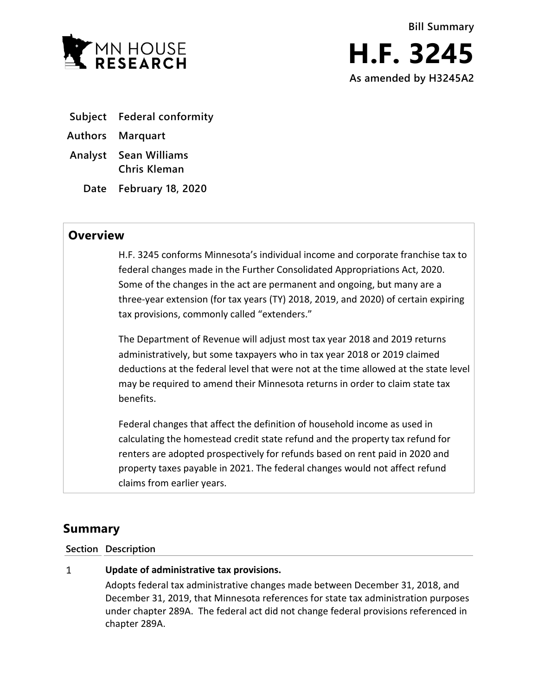

- **Subject Federal conformity**
- **Authors Marquart**
- **Analyst Sean Williams Chris Kleman**
	- **Date February 18, 2020**

## **Overview**

H.F. 3245 conforms Minnesota's individual income and corporate franchise tax to federal changes made in the Further Consolidated Appropriations Act, 2020. Some of the changes in the act are permanent and ongoing, but many are a three-year extension (for tax years (TY) 2018, 2019, and 2020) of certain expiring tax provisions, commonly called "extenders."

The Department of Revenue will adjust most tax year 2018 and 2019 returns administratively, but some taxpayers who in tax year 2018 or 2019 claimed deductions at the federal level that were not at the time allowed at the state level may be required to amend their Minnesota returns in order to claim state tax benefits.

Federal changes that affect the definition of household income as used in calculating the homestead credit state refund and the property tax refund for renters are adopted prospectively for refunds based on rent paid in 2020 and property taxes payable in 2021. The federal changes would not affect refund claims from earlier years.

# **Summary**

### **Section Description**

#### $\mathbf{1}$ **Update of administrative tax provisions.**

Adopts federal tax administrative changes made between December 31, 2018, and December 31, 2019, that Minnesota references for state tax administration purposes under chapter 289A. The federal act did not change federal provisions referenced in chapter 289A.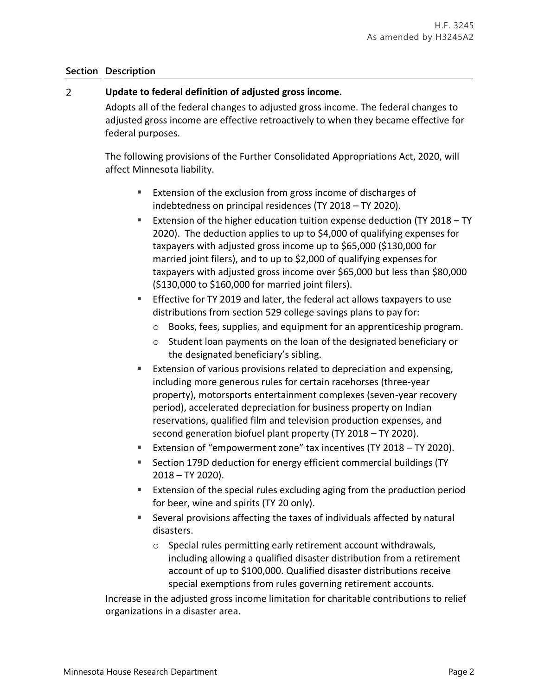### **Section Description**

#### $\overline{2}$ **Update to federal definition of adjusted gross income.**

Adopts all of the federal changes to adjusted gross income. The federal changes to adjusted gross income are effective retroactively to when they became effective for federal purposes.

The following provisions of the Further Consolidated Appropriations Act, 2020, will affect Minnesota liability.

- Extension of the exclusion from gross income of discharges of indebtedness on principal residences (TY 2018 – TY 2020).
- Extension of the higher education tuition expense deduction (TY 2018 TY 2020). The deduction applies to up to \$4,000 of qualifying expenses for taxpayers with adjusted gross income up to \$65,000 (\$130,000 for married joint filers), and to up to \$2,000 of qualifying expenses for taxpayers with adjusted gross income over \$65,000 but less than \$80,000 (\$130,000 to \$160,000 for married joint filers).
- **Effective for TY 2019 and later, the federal act allows taxpayers to use** distributions from section 529 college savings plans to pay for:
	- o Books, fees, supplies, and equipment for an apprenticeship program.
	- o Student loan payments on the loan of the designated beneficiary or the designated beneficiary's sibling.
- Extension of various provisions related to depreciation and expensing, including more generous rules for certain racehorses (three-year property), motorsports entertainment complexes (seven-year recovery period), accelerated depreciation for business property on Indian reservations, qualified film and television production expenses, and second generation biofuel plant property (TY 2018 – TY 2020).
- Extension of "empowerment zone" tax incentives (TY 2018 TY 2020).
- Section 179D deduction for energy efficient commercial buildings (TY 2018 – TY 2020).
- Extension of the special rules excluding aging from the production period for beer, wine and spirits (TY 20 only).
- Several provisions affecting the taxes of individuals affected by natural disasters.
	- o Special rules permitting early retirement account withdrawals, including allowing a qualified disaster distribution from a retirement account of up to \$100,000. Qualified disaster distributions receive special exemptions from rules governing retirement accounts.

Increase in the adjusted gross income limitation for charitable contributions to relief organizations in a disaster area.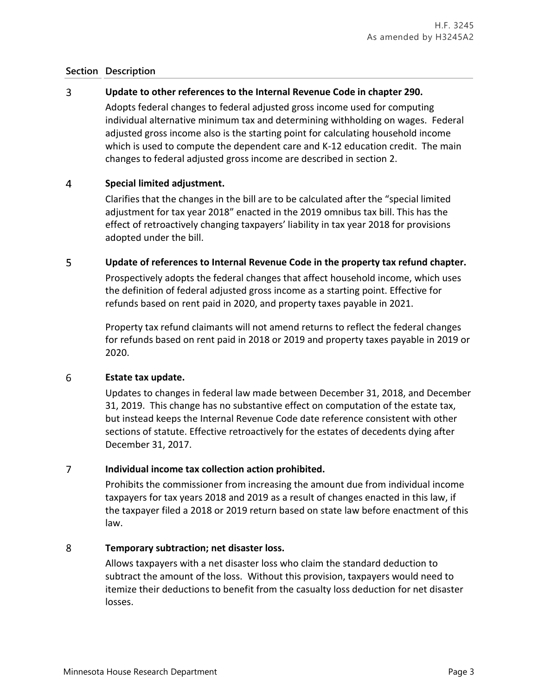### **Section Description**

#### 3 **Update to other references to the Internal Revenue Code in chapter 290.**

Adopts federal changes to federal adjusted gross income used for computing individual alternative minimum tax and determining withholding on wages. Federal adjusted gross income also is the starting point for calculating household income which is used to compute the dependent care and K-12 education credit. The main changes to federal adjusted gross income are described in section 2.

#### $\overline{4}$ **Special limited adjustment.**

Clarifies that the changes in the bill are to be calculated after the "special limited adjustment for tax year 2018" enacted in the 2019 omnibus tax bill. This has the effect of retroactively changing taxpayers' liability in tax year 2018 for provisions adopted under the bill.

#### 5 **Update of references to Internal Revenue Code in the property tax refund chapter.**

Prospectively adopts the federal changes that affect household income, which uses the definition of federal adjusted gross income as a starting point. Effective for refunds based on rent paid in 2020, and property taxes payable in 2021.

Property tax refund claimants will not amend returns to reflect the federal changes for refunds based on rent paid in 2018 or 2019 and property taxes payable in 2019 or 2020.

#### 6 **Estate tax update.**

Updates to changes in federal law made between December 31, 2018, and December 31, 2019. This change has no substantive effect on computation of the estate tax, but instead keeps the Internal Revenue Code date reference consistent with other sections of statute. Effective retroactively for the estates of decedents dying after December 31, 2017.

#### $\overline{7}$ **Individual income tax collection action prohibited.**

Prohibits the commissioner from increasing the amount due from individual income taxpayers for tax years 2018 and 2019 as a result of changes enacted in this law, if the taxpayer filed a 2018 or 2019 return based on state law before enactment of this law.

#### 8 **Temporary subtraction; net disaster loss.**

Allows taxpayers with a net disaster loss who claim the standard deduction to subtract the amount of the loss. Without this provision, taxpayers would need to itemize their deductions to benefit from the casualty loss deduction for net disaster losses.